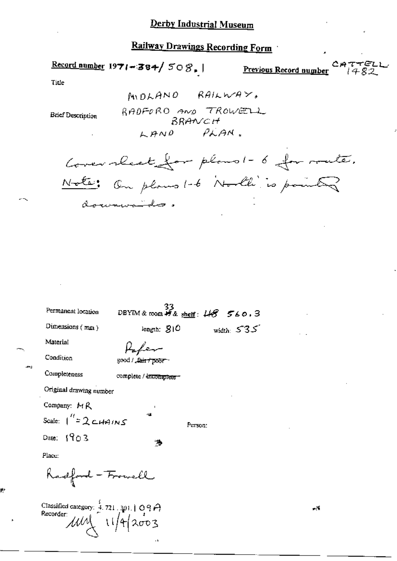Record number  $1971 - 384 / 508$ .

Previous Record number

∙ه ^

Title

Ŕ.

**Brief Description** 

 $MUDLANO$   $RAILWAY$ RADFORD AND TROWELL BRANCH LAND PLAN.

Cover rheet for plans !- 6 for route. Note: On plans 1-6 North is pointed documentales.

| Permanent location                                                                                 | 33<br>DBYIM&room <i>特&amp;</i> <u>sheff</u> : 4 <del>8</del> 560.3 |              |
|----------------------------------------------------------------------------------------------------|--------------------------------------------------------------------|--------------|
| Dimensions $(mn)$                                                                                  | length; $S10$                                                      | width: $535$ |
| Material                                                                                           | Haber                                                              |              |
| Condition                                                                                          | good / <del>_fair / poor -</del>                                   |              |
| Completeness                                                                                       | complete / incomplete -                                            |              |
| Original drawing number                                                                            |                                                                    |              |
| Company: $M$ $R$                                                                                   |                                                                    |              |
| Scale: $1'' = 2 \text{cm} + 105$                                                                   | ĸЩ.                                                                | Person:      |
| Date: $1903$                                                                                       | 薄                                                                  |              |
| Place:                                                                                             |                                                                    |              |
| Radford - Frowell                                                                                  |                                                                    |              |
| Classified category: $\frac{4}{4}$ .721.301.109A<br>Recorder:<br>$\mu\omega\sqrt{1/\sqrt{4}}$ 2003 |                                                                    |              |

 $\mathcal{L}^{\mathcal{N}}$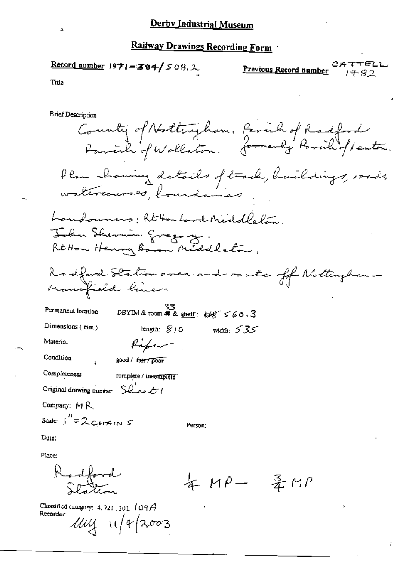## Record number  $1971 - 384 / 508$ ,  $\downarrow$

ててらてし Previous Record number 1482

Title

**Brief Description** 

County of Nottingham, Parish of Radford Pariah of Wallation. formerly Parish of Lenton. Plan showing details of track, huildings, roads, watercourses, boundaries Landowners: Rt Hou Land Middlelan, John Shermin gragory. Rt How Henry Baron Middleton, Radford Station area and route off Nottingham Mansfield lines  $53$ <br>DBYIM & room # & shelf:  $69^\circ$  560.3 Permanent location Dimensions  $(mm)$ length:  $$10$ width:  $535$ Refer Material Condition good / fair / poor Completeness complete / inecomplete Original drawing number Sueet 1 Company:  $M R$ Scale:  $\int_{0}^{R} = 2cHsin \ S$ Person: Date: Place:

artford 年 MP- 圣 MP

Classified category: 4, 721, 301,  $104\beta$ Recorder:  $1114$  11/4/2003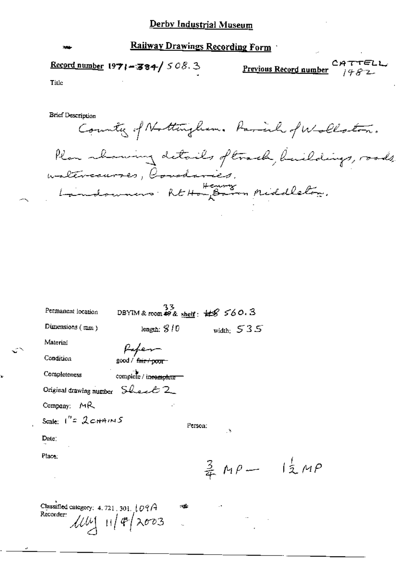# Record number  $1971 - 384 / 508.3$

Previous Record number

 $\frac{1}{2}$  MP

CATTELL  $1482$ 

Title

**Brief Description** 

County of Nottingham. Paral of Wollaston. Plan rhowing details oftwark, buildings, roads, materiaurres, Condavies. Landswais REHongBarn Middleton.

| Permanent location                                | 33<br>DBYIM & room $68$ shelf: $48$ $560.3$ |                       |
|---------------------------------------------------|---------------------------------------------|-----------------------|
| Dimensions $(mn)$                                 | length: $8/0$                               | width: $535$          |
| Material                                          |                                             |                       |
| Condition                                         | fafen<br>1900d/ <del>fair/poor</del>        |                       |
| Completeness                                      | complete / in <del>complete =</del>         |                       |
| Original drawing number Sheet 2                   |                                             |                       |
| Company: MR                                       |                                             |                       |
| Scale: $1''$ = $2$ c+A $ms$                       | Person:                                     |                       |
| Date:                                             |                                             | Λ.                    |
| Place:                                            |                                             |                       |
|                                                   |                                             | $rac{3}{4}$ $M\rho$ - |
|                                                   |                                             |                       |
| Classified category: 4.721.301. 09/4<br>Recorder: | M.                                          |                       |
|                                                   | $114$ $114$ $2003$                          |                       |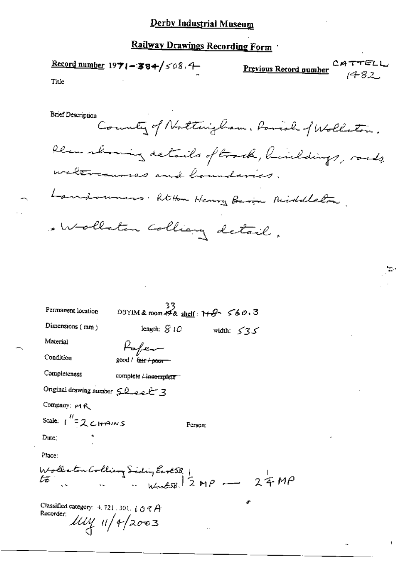# Derby Industrial Museum

# Railway Drawings Recording Form

|                                                                                      | Record number $1971 - 384 / 508.4$                              |            | <b>Previous Record gumber</b> CATTELL |  |
|--------------------------------------------------------------------------------------|-----------------------------------------------------------------|------------|---------------------------------------|--|
| Title                                                                                |                                                                 |            |                                       |  |
| Brief Description                                                                    |                                                                 |            |                                       |  |
|                                                                                      | County of Nottingham, Parish f Wollaton.                        |            |                                       |  |
|                                                                                      | blem showing details of trock, birildings, roads,               |            |                                       |  |
|                                                                                      | waltraumes and boundaries.                                      |            |                                       |  |
|                                                                                      | Landouners: Rtton Henry Baron Middleton                         |            |                                       |  |
|                                                                                      | . Wollaton Colliany detail.                                     |            |                                       |  |
|                                                                                      |                                                                 |            |                                       |  |
|                                                                                      |                                                                 |            |                                       |  |
|                                                                                      |                                                                 |            |                                       |  |
| Permanent location                                                                   | DBYIM & room #4 shelf: $H\rightarrow S$ 560.3                   |            |                                       |  |
| Dimensions (mm)                                                                      | length: $S10$                                                   | ک∑ک :width |                                       |  |
| Material                                                                             | Rofer                                                           |            |                                       |  |
| Condition                                                                            | 200d / fair+poor                                                |            |                                       |  |
| Completeness                                                                         | complete Lineomplete --                                         |            |                                       |  |
| Original drawing number $50$ as $-73$                                                |                                                                 |            |                                       |  |
| Company: MR                                                                          |                                                                 |            |                                       |  |
| Scale: $1^{H}$ = 2 CHAINS                                                            |                                                                 | Person:    |                                       |  |
| Date;                                                                                |                                                                 |            |                                       |  |
| Place:                                                                               |                                                                 |            |                                       |  |
|                                                                                      | Wollston Colliery Siding East 58 1<br>to : worked 2 MP - 2 4 MP |            |                                       |  |
| Classified category: 4, 721, 301, $\iota$ O $\mathcal{C}$ $\mathcal{A}$<br>Recorder: | $l\mu$ y 11/4/2003                                              |            |                                       |  |

 $\mathfrak{f}$ 

 $\bar{\omega}$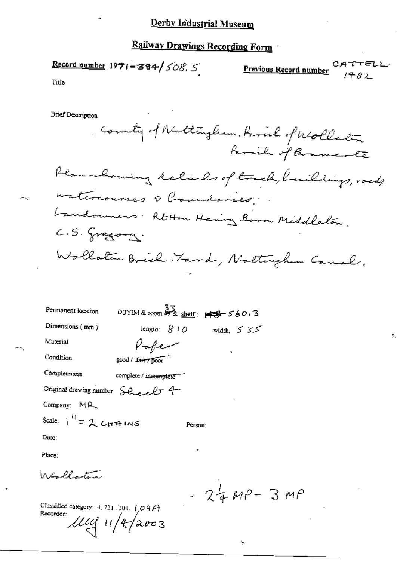## Derby Industrial Museum

# Railway Drawings Recording Form

Record number  $1971 - 384 / 508.5$ 

بر<br>م Previous Record number  $1482$ 

ุ≔า

ŧ.

Title

٦,

**Brief Description** 

| County of Nattingham, favoral of Wollaton      |
|------------------------------------------------|
| family of Bramcarte                            |
| Plan rhowing details of track, buildings, ords |
| materouves a Commission                        |
| Landouners Rt Hon Henry Born Middlebon,        |
| $C.S.$ greating.                               |
| Wollaton Brich Farod, Nattingham Canal,        |

| Permanent location                     | 33<br>DBYIM&room 神をshelf: ### 560.3 |
|----------------------------------------|-------------------------------------|
| Dimensions $(mn)$                      | length: $810$<br>width: $5.35$      |
| Material                               |                                     |
| Condition                              | ۰,<br>good / fair / poor            |
| Completeness                           | complete / incomplete               |
| Original drawing number Sheel 4        |                                     |
| Company: MR                            |                                     |
| Scale: $1^{\prime\prime} = 2$ currings | Person:                             |
| Due:                                   |                                     |

Place:

Wollaton

 $-24MP-3MP$ 

 $\frac{1}{\epsilon} \epsilon$ 

Classified category: 4, 721, 301,  $\frac{1}{2}$ O 9  $\hat{H}$ Recorder:  $1114/11/42003$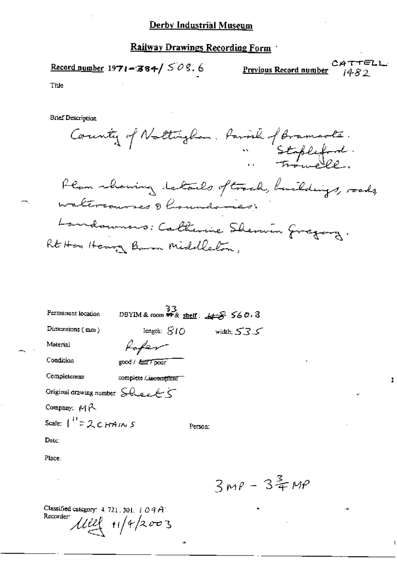CATTELL Previous Record number i482

Title

**Brief Description** 

| County of Nottingham, family of Bramcole.       |
|-------------------------------------------------|
| Plan showing letails oftrack, buildings, roads, |
| waltercourses d'houvelemes.                     |
| Landonners: Calterine Sherwin Gregory.          |
| Rt Hon Henry Baron Middlebon,                   |

| Permanent location                                           | $33$<br>DBYIM & room \$9 & shelf: $45$ 560.3 |         |              |           |
|--------------------------------------------------------------|----------------------------------------------|---------|--------------|-----------|
| Dimensions (mm)                                              | length: $SIO$                                |         | width: $535$ |           |
| Material                                                     |                                              |         |              |           |
| Condition                                                    | good / <i>East Tpoor</i>                     |         |              |           |
| Completeness                                                 | complete / incomplete                        |         |              |           |
| Original drawing number $\bigcirc \mathcal{A}_{\mathcal{A}}$ |                                              |         |              |           |
| Company: $A\beta$                                            |                                              |         |              |           |
| Scale: $\int_0^H 2 \angle CHAMSS$                            |                                              | Person: |              |           |
| $\mathbf{D}_{\mathbf{d}}(\mathbf{c})$                        |                                              |         |              |           |
| Place:                                                       |                                              |         |              |           |
|                                                              |                                              |         |              | $3 - 100$ |

ab,

 $3MP - 34MP$ 

Î.

t

¢.

Classified category: 4.721.301.109A<br>Recorder:<br> $114 + 142003$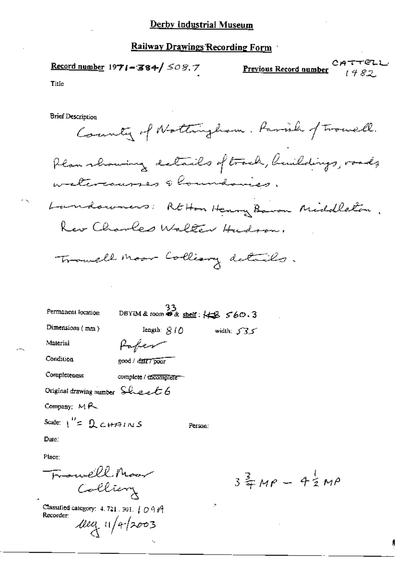CATTELL / Record number 1971-384/ 508.7 Previous Record number 1482. Title **Brief Description** County of Nottingham. Parish of Trouell.

Plan rhowing details of track, buildings, roads, welcocourses & houndaries. Landowners: REHan Henry Baron Middleton. Rev Charles Walter Hudson.

Trouble moor Colliary details.

| Permanent location              | $33$<br>DBYIM & room $\bullet$ & shelf: $\leftarrow$ $\frac{33}{2}$ 560.3 |               |
|---------------------------------|---------------------------------------------------------------------------|---------------|
| Dimensions $(mn)$               | length: $810$                                                             | width: $53.5$ |
| Material                        | Paper                                                                     |               |
| Condition                       | good / datt7 poor                                                         |               |
| Completeness                    | complete / incomplete --                                                  |               |
| Original drawing number Sheet 6 |                                                                           |               |
| Company: $M$ $R$                |                                                                           |               |
| Scale: $1'' = 2$ chains         | Person:                                                                   |               |
| Date:                           |                                                                           |               |
| Place:                          |                                                                           |               |
| . .                             | $\sim$ 0.0 $\mu$ $\sim$                                                   |               |

Classified category: 4.721.301. | O 9 P Recorder:  $deg$  11/4/2003

Colliery

 $3\frac{2}{7}MP - 4\frac{1}{2}MP$